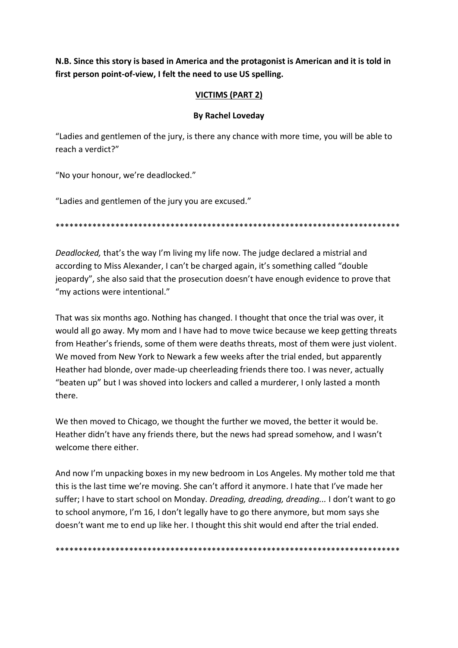**N.B. Since this story is based in America and the protagonist is American and it is told in first person point-of-view, I felt the need to use US spelling.**

## **VICTIMS (PART 2)**

## **By Rachel Loveday**

"Ladies and gentlemen of the jury, is there any chance with more time, you will be able to reach a verdict?"

"No your honour, we're deadlocked."

"Ladies and gentlemen of the jury you are excused."

\*\*\*\*\*\*\*\*\*\*\*\*\*\*\*\*\*\*\*\*\*\*\*\*\*\*\*\*\*\*\*\*\*\*\*\*\*\*\*\*\*\*\*\*\*\*\*\*\*\*\*\*\*\*\*\*\*\*\*\*\*\*\*\*\*\*\*\*\*\*\*\*\*\*\*

*Deadlocked,* that's the way I'm living my life now. The judge declared a mistrial and according to Miss Alexander, I can't be charged again, it's something called "double jeopardy", she also said that the prosecution doesn't have enough evidence to prove that "my actions were intentional."

That was six months ago. Nothing has changed. I thought that once the trial was over, it would all go away. My mom and I have had to move twice because we keep getting threats from Heather's friends, some of them were deaths threats, most of them were just violent. We moved from New York to Newark a few weeks after the trial ended, but apparently Heather had blonde, over made-up cheerleading friends there too. I was never, actually "beaten up" but I was shoved into lockers and called a murderer, I only lasted a month there.

We then moved to Chicago, we thought the further we moved, the better it would be. Heather didn't have any friends there, but the news had spread somehow, and I wasn't welcome there either.

And now I'm unpacking boxes in my new bedroom in Los Angeles. My mother told me that this is the last time we're moving. She can't afford it anymore. I hate that I've made her suffer; I have to start school on Monday. *Dreading, dreading, dreading...* I don't want to go to school anymore, I'm 16, I don't legally have to go there anymore, but mom says she doesn't want me to end up like her. I thought this shit would end after the trial ended.